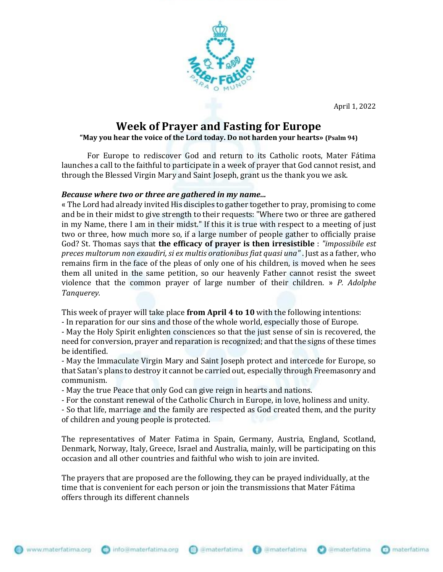April 1, 2022



## **Week of Prayer and Fasting for Europe**

## **"May you hear the voice of the Lord today. Do not harden your hearts» (Psalm 94)**

For Europe to rediscover God and return to its Catholic roots, Mater Fátima launches a call to the faithful to participate in a week of prayer that God cannot resist, and through the Blessed Virgin Mary and Saint Joseph, grant us the thank you we ask.

## *Because where two or three are gathered in my name...*

« The Lord had already invited His disciples to gather together to pray, promising to come and be in their midst to give strength to their requests: "Where two or three are gathered in my Name, there I am in their midst." If this it is true with respect to a meeting of just two or three, how much more so, if a large number of people gather to officially praise God? St. Thomas says that **the efficacy of prayer is then irresistible** : *"impossibile est preces multorum non exaudiri, si ex multis orationibus fiat quasi una"* . Just as a father, who remains firm in the face of the pleas of only one of his children, is moved when he sees them all united in the same petition, so our heavenly Father cannot resist the sweet violence that the common prayer of large number of their children. » *P. Adolphe Tanquerey.*

This week of prayer will take place **from April 4 to 10** with the following intentions:

- In reparation for our sins and those of the whole world, especially those of Europe.

- May the Holy Spirit enlighten consciences so that the just sense of sin is recovered, the need for conversion, prayer and reparation is recognized; and that the signs of these times be identified.

- May the Immaculate Virgin Mary and Saint Joseph protect and intercede for Europe, so that Satan's plans to destroy it cannot be carried out, especially through Freemasonry and communism.

- May the true Peace that only God can give reign in hearts and nations.

- For the constant renewal of the Catholic Church in Europe, in love, holiness and unity.

- So that life, marriage and the family are respected as God created them, and the purity of children and young people is protected.

The representatives of Mater Fatima in Spain, Germany, Austria, England, Scotland, Denmark, Norway, Italy, Greece, Israel and Australia, mainly, will be participating on this occasion and all other countries and faithful who wish to join are invited.

The prayers that are proposed are the following, they can be prayed individually, at the time that is convenient for each person or join the transmissions that Mater Fátima offers through its different channels

nfo@materfatima.org amaterfatima **Ca** imaterfatima